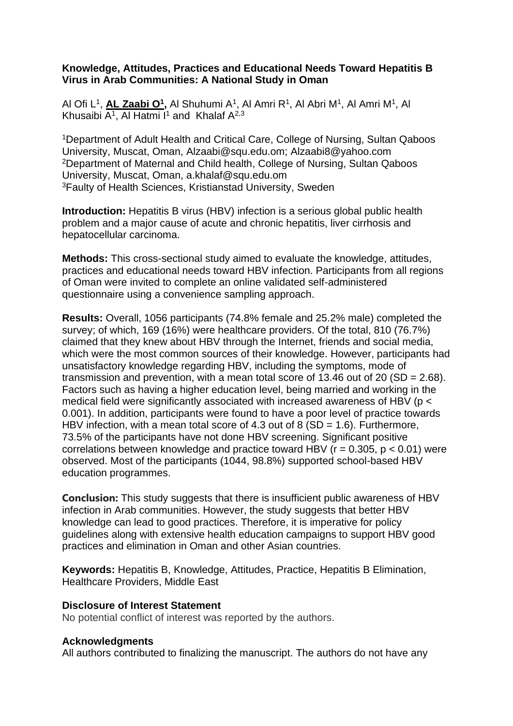## **Knowledge, Attitudes, Practices and Educational Needs Toward Hepatitis B Virus in Arab Communities: A National Study in Oman**

Al Ofi L<sup>1</sup>, <mark>AL Zaabi O<sup>1</sup>,</mark> Al Shuhumi A<sup>1</sup>, Al Amri R<sup>1</sup>, Al Abri M<sup>1</sup>, Al Amri M<sup>1</sup>, Al Khusaibi A<sup>1</sup>, Al Hatmi I<sup>1</sup> and Khalaf A<sup>2,3</sup>

<sup>1</sup>Department of Adult Health and Critical Care, College of Nursing, Sultan Qaboos University, Muscat, Oman, Alzaabi@squ.edu.om; [Alzaabi8@yahoo.com](mailto:Alzaabi8@yahoo.com) <sup>2</sup>Department of Maternal and Child health, College of Nursing, Sultan Qaboos University, Muscat, Oman, [a.khalaf@squ.edu.om](mailto:a.khalaf@squ.edu.om) <sup>3</sup>Faulty of Health Sciences, Kristianstad University, Sweden

**Introduction:** Hepatitis B virus (HBV) infection is a serious global public health problem and a major cause of acute and chronic hepatitis, liver cirrhosis and hepatocellular carcinoma.

**Methods:** This cross-sectional study aimed to evaluate the knowledge, attitudes, practices and educational needs toward HBV infection. Participants from all regions of Oman were invited to complete an online validated self-administered questionnaire using a convenience sampling approach.

**Results:** Overall, 1056 participants (74.8% female and 25.2% male) completed the survey; of which, 169 (16%) were healthcare providers. Of the total, 810 (76.7%) claimed that they knew about HBV through the Internet, friends and social media, which were the most common sources of their knowledge. However, participants had unsatisfactory knowledge regarding HBV, including the symptoms, mode of transmission and prevention, with a mean total score of 13.46 out of 20 (SD = 2.68). Factors such as having a higher education level, being married and working in the medical field were significantly associated with increased awareness of HBV (p < 0.001). In addition, participants were found to have a poor level of practice towards HBV infection, with a mean total score of 4.3 out of 8 (SD = 1.6). Furthermore, 73.5% of the participants have not done HBV screening. Significant positive correlations between knowledge and practice toward HBV ( $r = 0.305$ ,  $p < 0.01$ ) were observed. Most of the participants (1044, 98.8%) supported school-based HBV education programmes.

**Conclusion:** This study suggests that there is insufficient public awareness of HBV infection in Arab communities. However, the study suggests that better HBV knowledge can lead to good practices. Therefore, it is imperative for policy guidelines along with extensive health education campaigns to support HBV good practices and elimination in Oman and other Asian countries.

**Keywords:** Hepatitis B, Knowledge, Attitudes, Practice, Hepatitis B Elimination, Healthcare Providers, Middle East

## **Disclosure of Interest Statement**

No potential conflict of interest was reported by the authors.

## **Acknowledgments**

All authors contributed to finalizing the manuscript. The authors do not have any